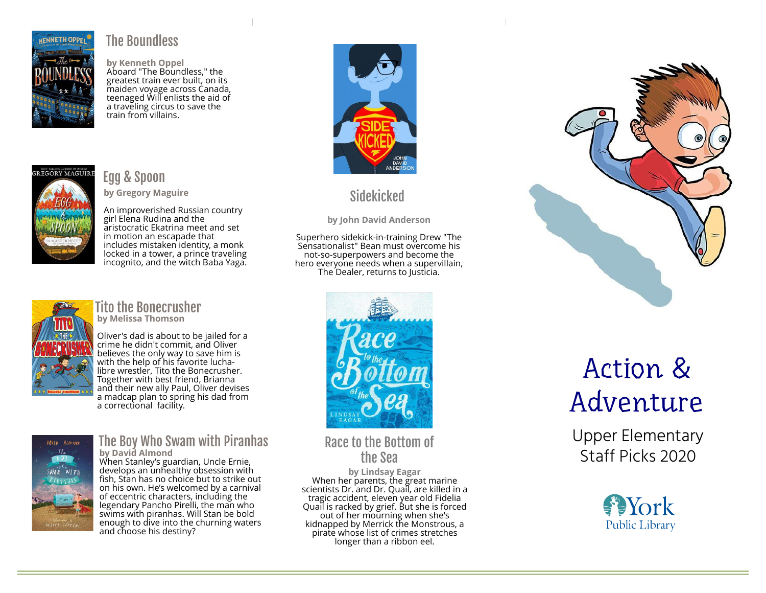

#### The Boundless

by Kenneth Oppel Aboard "The Boundless," the greatest train ever built, on its maiden voyage across Canada, teenaged Will enlists the aid of a traveling circus to save the train from villains.



#### Egg & Spoon

by Gregory Maguire

An improverished Russian country girl Elena Rudina and the aristocratic Ekatrina meet and set in motion an escapade that includes mistaken identity, a monk locked in a tower, a prince traveling incognito, and the witch Baba Yaga.



#### Tito the Bonecrusher by Melissa Thomson

Oliver's dad is about to be jailed for a crime he didn't commit, and Oliver believes the only way to save him is with the help of his favorite luchalibre wrestler, Tito the Bonecrusher. Together with best friend, Brianna and their new ally Paul, Oliver devises a madcap plan to spring his dad from a correctional facility.



#### The Boy Who Swam with Piranhas by David Almond

When Stanley's guardian, Uncle Ernie, develops an unhealthy obsession with fish, Stan has no choice but to strike out on his own. He's welcomed by a carnival of eccentric characters, including the legendary Pancho Pirelli, the man who swims with piranhas. Will Stan be bold enough to dive into the churning waters and choose his destiny?



# **Sidekicked**

by John David Anderson

Superhero sidekick-in-training Drew "The Sensationalist" Bean must overcome his not-so-superpowers and become the hero everyone needs when a supervillain, The Dealer, returns to Justicia.



Race to the Bottom of the Sea

by Lindsay Eagar When her parents, the great marine scientists Dr. and Dr. Quail, are killed in a tragic accident, eleven year old Fidelia Quail is racked by grief. But she is forced out of her mourning when she's kidnapped by Merrick the Monstrous, a pirate whose list of crimes stretches longer than a ribbon eel.



# Action & Adventure

Upper Elementary Staff Picks 2020